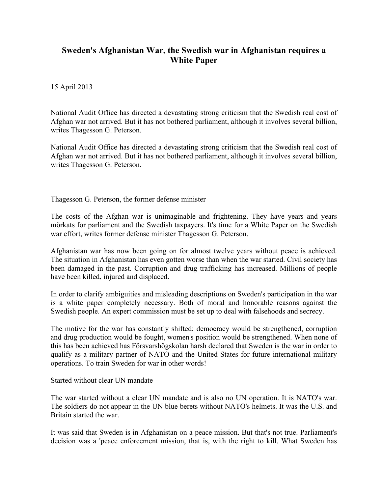## **Sweden's Afghanistan War, the Swedish war in Afghanistan requires a White Paper**

15 April 2013

National Audit Office has directed a devastating strong criticism that the Swedish real cost of Afghan war not arrived. But it has not bothered parliament, although it involves several billion, writes Thagesson G. Peterson.

National Audit Office has directed a devastating strong criticism that the Swedish real cost of Afghan war not arrived. But it has not bothered parliament, although it involves several billion, writes Thagesson G. Peterson.

Thagesson G. Peterson, the former defense minister

The costs of the Afghan war is unimaginable and frightening. They have years and years mörkats for parliament and the Swedish taxpayers. It's time for a White Paper on the Swedish war effort, writes former defense minister Thagesson G. Peterson.

Afghanistan war has now been going on for almost twelve years without peace is achieved. The situation in Afghanistan has even gotten worse than when the war started. Civil society has been damaged in the past. Corruption and drug trafficking has increased. Millions of people have been killed, injured and displaced.

In order to clarify ambiguities and misleading descriptions on Sweden's participation in the war is a white paper completely necessary. Both of moral and honorable reasons against the Swedish people. An expert commission must be set up to deal with falsehoods and secrecy.

The motive for the war has constantly shifted; democracy would be strengthened, corruption and drug production would be fought, women's position would be strengthened. When none of this has been achieved has Försvarshögskolan harsh declared that Sweden is the war in order to qualify as a military partner of NATO and the United States for future international military operations. To train Sweden for war in other words!

Started without clear UN mandate

The war started without a clear UN mandate and is also no UN operation. It is NATO's war. The soldiers do not appear in the UN blue berets without NATO's helmets. It was the U.S. and Britain started the war.

It was said that Sweden is in Afghanistan on a peace mission. But that's not true. Parliament's decision was a 'peace enforcement mission, that is, with the right to kill. What Sweden has